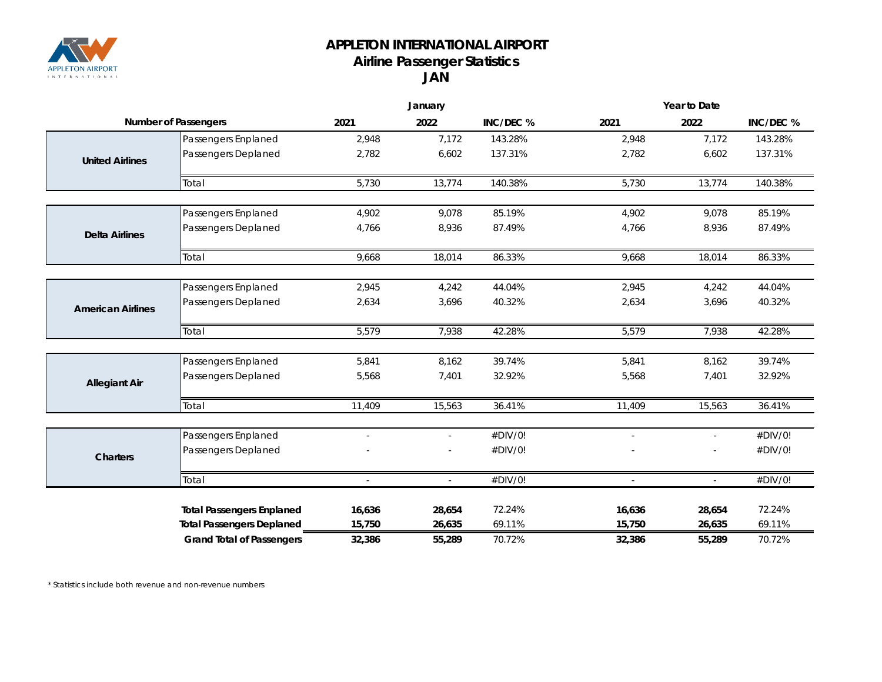

## **APPLETON INTERNATIONAL AIRPORT Airline Passenger Statistics JAN**

|                             |                                  | January                  |                |           | Year to Date             |               |           |  |
|-----------------------------|----------------------------------|--------------------------|----------------|-----------|--------------------------|---------------|-----------|--|
| <b>Number of Passengers</b> |                                  | 2021                     | 2022           | INC/DEC % | 2021                     | 2022          | INC/DEC % |  |
|                             | Passengers Enplaned              | 2,948                    | 7,172          | 143.28%   | 2,948                    | 7,172         | 143.28%   |  |
| <b>United Airlines</b>      | Passengers Deplaned              | 2,782                    | 6,602          | 137.31%   | 2,782                    | 6,602         | 137.31%   |  |
|                             | Total                            | 5,730                    | 13,774         | 140.38%   | 5,730                    | 13,774        | 140.38%   |  |
|                             | Passengers Enplaned              | 4,902                    | 9,078          | 85.19%    | 4,902                    | 9,078         | 85.19%    |  |
| <b>Delta Airlines</b>       | Passengers Deplaned              | 4,766                    | 8,936          | 87.49%    | 4,766                    | 8,936         | 87.49%    |  |
|                             | Total                            | 9,668                    | 18,014         | 86.33%    | 9,668                    | 18,014        | 86.33%    |  |
|                             |                                  |                          |                |           |                          |               |           |  |
|                             | Passengers Enplaned              | 2,945                    | 4,242          | 44.04%    | 2,945                    | 4,242         | 44.04%    |  |
| <b>American Airlines</b>    | Passengers Deplaned              | 2,634                    | 3,696          | 40.32%    | 2,634                    | 3,696         | 40.32%    |  |
|                             | Total                            | 5,579                    | 7,938          | 42.28%    | 5,579                    | 7,938         | 42.28%    |  |
|                             | Passengers Enplaned              | 5,841                    | 8,162          | 39.74%    | 5,841                    | 8,162         | 39.74%    |  |
| <b>Allegiant Air</b>        | Passengers Deplaned              | 5,568                    | 7,401          | 32.92%    | 5,568                    | 7,401         | 32.92%    |  |
|                             | Total                            | 11,409                   | 15,563         | 36.41%    | 11,409                   | 15,563        | 36.41%    |  |
|                             | Passengers Enplaned              | $\overline{\phantom{a}}$ | $\blacksquare$ | #DIV/0!   | $\overline{\phantom{a}}$ | $\mathcal{L}$ | #DIV/0!   |  |
| <b>Charters</b>             | Passengers Deplaned              |                          |                | #DIV/0!   |                          |               | #DIV/0!   |  |
|                             | Total                            | ÷,                       | $\mathbb{L}$   | #DIV/0!   |                          |               | #DIV/0!   |  |
|                             | <b>Total Passengers Enplaned</b> | 16,636                   | 28,654         | 72.24%    | 16,636                   | 28,654        | 72.24%    |  |
|                             | <b>Total Passengers Deplaned</b> | 15,750                   | 26,635         | 69.11%    | 15,750                   | 26,635        | 69.11%    |  |
|                             | <b>Grand Total of Passengers</b> | 32,386                   | 55,289         | 70.72%    | 32,386                   | 55,289        | 70.72%    |  |

*\* Statistics include both revenue and non-revenue numbers*